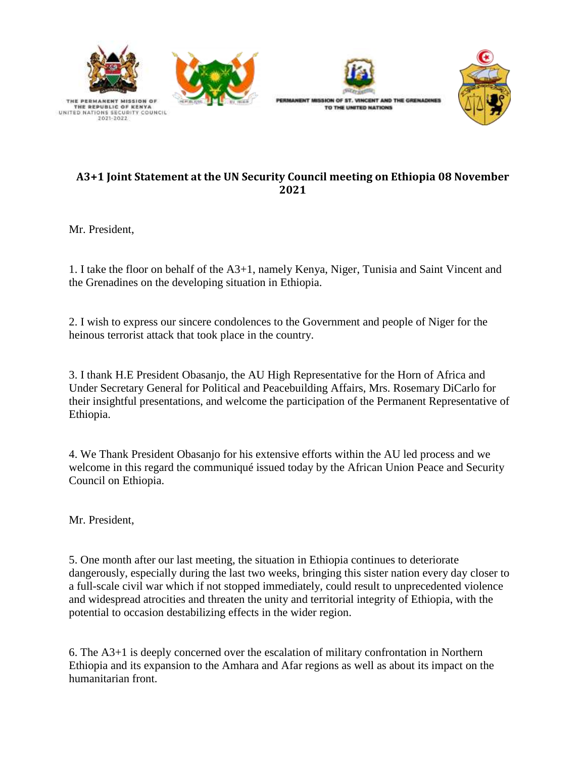





## **A3+1 Joint Statement at the UN Security Council meeting on Ethiopia 08 November 2021**

Mr. President,

1. I take the floor on behalf of the A3+1, namely Kenya, Niger, Tunisia and Saint Vincent and the Grenadines on the developing situation in Ethiopia.

2. I wish to express our sincere condolences to the Government and people of Niger for the heinous terrorist attack that took place in the country.

3. I thank H.E President Obasanjo, the AU High Representative for the Horn of Africa and Under Secretary General for Political and Peacebuilding Affairs, Mrs. Rosemary DiCarlo for their insightful presentations, and welcome the participation of the Permanent Representative of Ethiopia.

4. We Thank President Obasanjo for his extensive efforts within the AU led process and we welcome in this regard the communiqué issued today by the African Union Peace and Security Council on Ethiopia.

Mr. President,

5. One month after our last meeting, the situation in Ethiopia continues to deteriorate dangerously, especially during the last two weeks, bringing this sister nation every day closer to a full-scale civil war which if not stopped immediately, could result to unprecedented violence and widespread atrocities and threaten the unity and territorial integrity of Ethiopia, with the potential to occasion destabilizing effects in the wider region.

6. The A3+1 is deeply concerned over the escalation of military confrontation in Northern Ethiopia and its expansion to the Amhara and Afar regions as well as about its impact on the humanitarian front.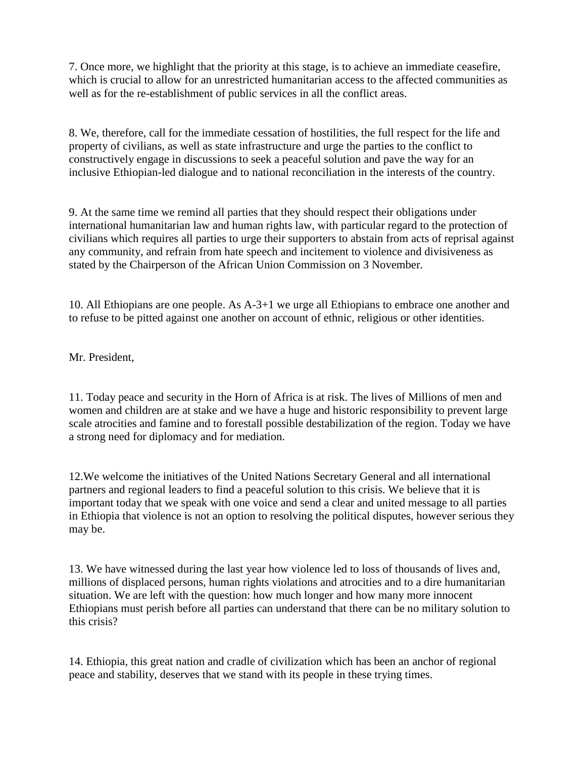7. Once more, we highlight that the priority at this stage, is to achieve an immediate ceasefire, which is crucial to allow for an unrestricted humanitarian access to the affected communities as well as for the re-establishment of public services in all the conflict areas.

8. We, therefore, call for the immediate cessation of hostilities, the full respect for the life and property of civilians, as well as state infrastructure and urge the parties to the conflict to constructively engage in discussions to seek a peaceful solution and pave the way for an inclusive Ethiopian-led dialogue and to national reconciliation in the interests of the country.

9. At the same time we remind all parties that they should respect their obligations under international humanitarian law and human rights law, with particular regard to the protection of civilians which requires all parties to urge their supporters to abstain from acts of reprisal against any community, and refrain from hate speech and incitement to violence and divisiveness as stated by the Chairperson of the African Union Commission on 3 November.

10. All Ethiopians are one people. As A-3+1 we urge all Ethiopians to embrace one another and to refuse to be pitted against one another on account of ethnic, religious or other identities.

Mr. President,

11. Today peace and security in the Horn of Africa is at risk. The lives of Millions of men and women and children are at stake and we have a huge and historic responsibility to prevent large scale atrocities and famine and to forestall possible destabilization of the region. Today we have a strong need for diplomacy and for mediation.

12.We welcome the initiatives of the United Nations Secretary General and all international partners and regional leaders to find a peaceful solution to this crisis. We believe that it is important today that we speak with one voice and send a clear and united message to all parties in Ethiopia that violence is not an option to resolving the political disputes, however serious they may be.

13. We have witnessed during the last year how violence led to loss of thousands of lives and, millions of displaced persons, human rights violations and atrocities and to a dire humanitarian situation. We are left with the question: how much longer and how many more innocent Ethiopians must perish before all parties can understand that there can be no military solution to this crisis?

14. Ethiopia, this great nation and cradle of civilization which has been an anchor of regional peace and stability, deserves that we stand with its people in these trying times.